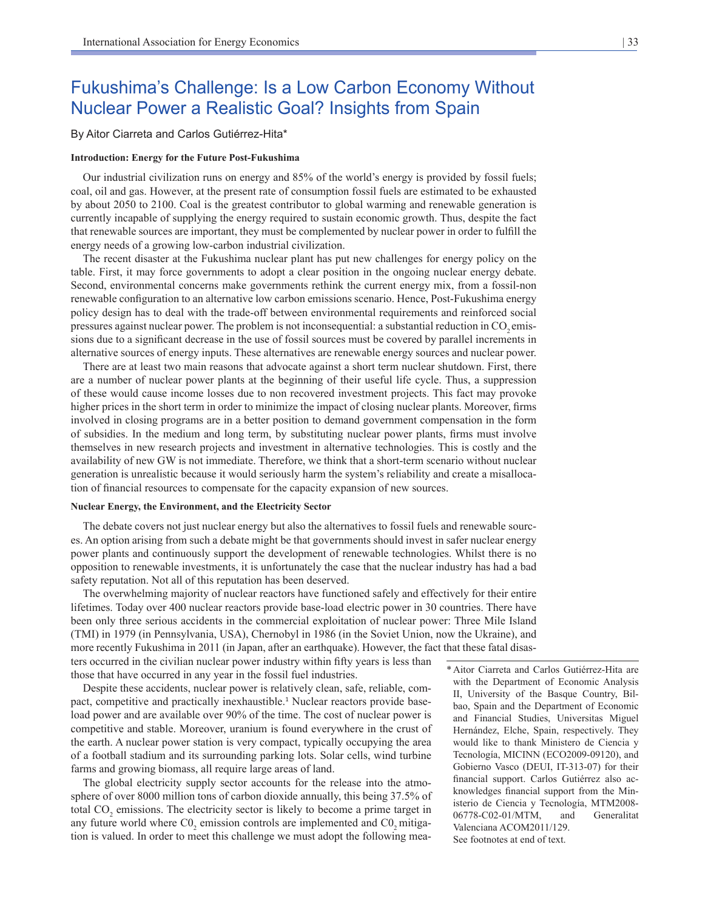# Fukushima's Challenge: Is a Low Carbon Economy Without Nuclear Power a Realistic Goal? Insights from Spain

By Aitor Ciarreta and Carlos Gutiérrez-Hita\*

#### **Introduction: Energy for the Future Post-Fukushima**

Our industrial civilization runs on energy and 85% of the world's energy is provided by fossil fuels; coal, oil and gas. However, at the present rate of consumption fossil fuels are estimated to be exhausted by about 2050 to 2100. Coal is the greatest contributor to global warming and renewable generation is currently incapable of supplying the energy required to sustain economic growth. Thus, despite the fact that renewable sources are important, they must be complemented by nuclear power in order to fulfill the energy needs of a growing low-carbon industrial civilization.

The recent disaster at the Fukushima nuclear plant has put new challenges for energy policy on the table. First, it may force governments to adopt a clear position in the ongoing nuclear energy debate. Second, environmental concerns make governments rethink the current energy mix, from a fossil-non renewable configuration to an alternative low carbon emissions scenario. Hence, Post-Fukushima energy policy design has to deal with the trade-off between environmental requirements and reinforced social pressures against nuclear power. The problem is not inconsequential: a substantial reduction in CO<sub>2</sub> emissions due to a significant decrease in the use of fossil sources must be covered by parallel increments in alternative sources of energy inputs. These alternatives are renewable energy sources and nuclear power.

There are at least two main reasons that advocate against a short term nuclear shutdown. First, there are a number of nuclear power plants at the beginning of their useful life cycle. Thus, a suppression of these would cause income losses due to non recovered investment projects. This fact may provoke higher prices in the short term in order to minimize the impact of closing nuclear plants. Moreover, firms involved in closing programs are in a better position to demand government compensation in the form of subsidies. In the medium and long term, by substituting nuclear power plants, firms must involve themselves in new research projects and investment in alternative technologies. This is costly and the availability of new GW is not immediate. Therefore, we think that a short-term scenario without nuclear generation is unrealistic because it would seriously harm the system's reliability and create a misallocation of financial resources to compensate for the capacity expansion of new sources.

## **Nuclear Energy, the Environment, and the Electricity Sector**

The debate covers not just nuclear energy but also the alternatives to fossil fuels and renewable sources. An option arising from such a debate might be that governments should invest in safer nuclear energy power plants and continuously support the development of renewable technologies. Whilst there is no opposition to renewable investments, it is unfortunately the case that the nuclear industry has had a bad safety reputation. Not all of this reputation has been deserved.

The overwhelming majority of nuclear reactors have functioned safely and effectively for their entire lifetimes. Today over 400 nuclear reactors provide base-load electric power in 30 countries. There have been only three serious accidents in the commercial exploitation of nuclear power: Three Mile Island (TMI) in 1979 (in Pennsylvania, USA), Chernobyl in 1986 (in the Soviet Union, now the Ukraine), and more recently Fukushima in 2011 (in Japan, after an earthquake). However, the fact that these fatal disas-

ters occurred in the civilian nuclear power industry within fifty years is less than those that have occurred in any year in the fossil fuel industries.

Despite these accidents, nuclear power is relatively clean, safe, reliable, compact, competitive and practically inexhaustible.<sup>1</sup> Nuclear reactors provide baseload power and are available over 90% of the time. The cost of nuclear power is competitive and stable. Moreover, uranium is found everywhere in the crust of the earth. A nuclear power station is very compact, typically occupying the area of a football stadium and its surrounding parking lots. Solar cells, wind turbine farms and growing biomass, all require large areas of land.

The global electricity supply sector accounts for the release into the atmosphere of over 8000 million tons of carbon dioxide annually, this being 37.5% of total  $CO<sub>2</sub>$  emissions. The electricity sector is likely to become a prime target in any future world where  $CO_2$  emission controls are implemented and  $CO_2$  mitigation is valued. In order to meet this challenge we must adopt the following mea\*Aitor Ciarreta and Carlos Gutiérrez-Hita are with the Department of Economic Analysis II, University of the Basque Country, Bilbao, Spain and the Department of Economic and Financial Studies, Universitas Miguel Hernández, Elche, Spain, respectively. They would like to thank Ministero de Ciencia y Tecnología, MICINN (ECO2009-09120), and Gobierno Vasco (DEUI, IT-313-07) for their financial support. Carlos Gutiérrez also acknowledges financial support from the Ministerio de Ciencia y Tecnología, MTM2008- 06778-C02-01/MTM, and Generalitat Valenciana ACOM2011/129. See footnotes at end of text.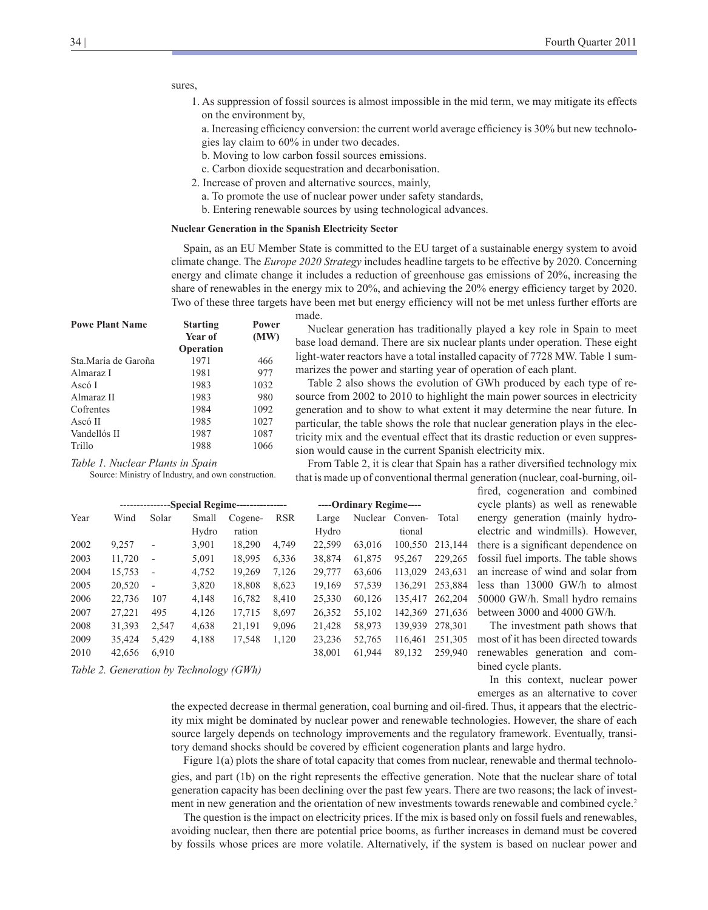# sures,

1. As suppression of fossil sources is almost impossible in the mid term, we may mitigate its effects on the environment by,

a. Increasing efficiency conversion: the current world average efficiency is 30% but new technologies lay claim to 60% in under two decades.

- b. Moving to low carbon fossil sources emissions.
- c. Carbon dioxide sequestration and decarbonisation.
- 2. Increase of proven and alternative sources, mainly,
- a. To promote the use of nuclear power under safety standards,
- b. Entering renewable sources by using technological advances.

### **Nuclear Generation in the Spanish Electricity Sector**

Spain, as an EU Member State is committed to the EU target of a sustainable energy system to avoid climate change. The *Europe 2020 Strategy* includes headline targets to be effective by 2020. Concerning energy and climate change it includes a reduction of greenhouse gas emissions of 20%, increasing the share of renewables in the energy mix to 20%, and achieving the 20% energy efficiency target by 2020. Two of these three targets have been met but energy efficiency will not be met unless further efforts are made.

| <b>Powe Plant Name</b> | <b>Starting</b>  | Power<br>(MW) |  |  |  |  |
|------------------------|------------------|---------------|--|--|--|--|
|                        | Year of          |               |  |  |  |  |
|                        | <b>Operation</b> |               |  |  |  |  |
| Sta.María de Garoña    | 1971             | 466           |  |  |  |  |
| Almaraz I              | 1981             | 977           |  |  |  |  |
| Ascó I                 | 1983             | 1032          |  |  |  |  |
| Almaraz II             | 1983             | 980           |  |  |  |  |
| Cofrentes              | 1984             | 1092          |  |  |  |  |
| Ascó II                | 1985             | 1027          |  |  |  |  |
| Vandellós II           | 1987             | 1087          |  |  |  |  |
| Trillo                 | 1988             | 1066          |  |  |  |  |

Nuclear generation has traditionally played a key role in Spain to meet base load demand. There are six nuclear plants under operation. These eight light-water reactors have a total installed capacity of 7728 MW. Table 1 summarizes the power and starting year of operation of each plant.

Table 2 also shows the evolution of GWh produced by each type of resource from 2002 to 2010 to highlight the main power sources in electricity generation and to show to what extent it may determine the near future. In particular, the table shows the role that nuclear generation plays in the electricity mix and the eventual effect that its drastic reduction or even suppression would cause in the current Spanish electricity mix.

*Table 1. Nuclear Plants in Spain*

Source: Ministry of Industry, and own construction.

*Table 2. Generation by Technology (GWh)*

|      | -Special Regime---------------- |                          |       | ----Ordinary Regime---- |            |        |        |                 |         |
|------|---------------------------------|--------------------------|-------|-------------------------|------------|--------|--------|-----------------|---------|
| Year | Wind                            | Solar                    | Small | Cogene-                 | <b>RSR</b> | Large  |        | Nuclear Conven- | Total   |
|      |                                 |                          | Hydro | ration                  |            | Hydro  |        | tional          |         |
| 2002 | 9,257                           | $\overline{a}$           | 3,901 | 18,290                  | 4,749      | 22,599 | 63,016 | 100,550         | 213,144 |
| 2003 | 11,720                          | $\overline{a}$           | 5,091 | 18,995                  | 6,336      | 38,874 | 61,875 | 95,267          | 229,265 |
| 2004 | 15,753                          | $\overline{a}$           | 4,752 | 19,269                  | 7,126      | 29,777 | 63,606 | 113,029         | 243,631 |
| 2005 | 20,520                          | $\overline{\phantom{a}}$ | 3,820 | 18,808                  | 8,623      | 19,169 | 57,539 | 136,291         | 253,884 |
| 2006 | 22,736                          | 107                      | 4,148 | 16,782                  | 8,410      | 25,330 | 60,126 | 135,417         | 262,204 |
| 2007 | 27,221                          | 495                      | 4,126 | 17,715                  | 8,697      | 26,352 | 55,102 | 142,369         | 271,636 |
| 2008 | 31,393                          | 2,547                    | 4,638 | 21,191                  | 9,096      | 21,428 | 58,973 | 139.939         | 278,301 |
| 2009 | 35,424                          | 5,429                    | 4,188 | 17,548                  | 1,120      | 23,236 | 52,765 | 116,461         | 251,305 |
| 2010 | 42,656                          | 6.910                    |       |                         |            | 38,001 | 61,944 | 89.132          | 259.940 |

From Table 2, it is clear that Spain has a rather diversified technology mix that is made up of conventional thermal generation (nuclear, coal-burning, oil-

fired, cogeneration and combined cycle plants) as well as renewable energy generation (mainly hydroelectric and windmills). However, there is a significant dependence on fossil fuel imports. The table shows an increase of wind and solar from less than 13000 GW/h to almost 50000 GW/h. Small hydro remains between 3000 and 4000 GW/h.

The investment path shows that most of it has been directed towards renewables generation and combined cycle plants.

In this context, nuclear power emerges as an alternative to cover

the expected decrease in thermal generation, coal burning and oil-fired. Thus, it appears that the electricity mix might be dominated by nuclear power and renewable technologies. However, the share of each source largely depends on technology improvements and the regulatory framework. Eventually, transitory demand shocks should be covered by efficient cogeneration plants and large hydro.

Figure 1(a) plots the share of total capacity that comes from nuclear, renewable and thermal technologies, and part (1b) on the right represents the effective generation. Note that the nuclear share of total generation capacity has been declining over the past few years. There are two reasons; the lack of investment in new generation and the orientation of new investments towards renewable and combined cycle.<sup>2</sup>

The question is the impact on electricity prices. If the mix is based only on fossil fuels and renewables, avoiding nuclear, then there are potential price booms, as further increases in demand must be covered by fossils whose prices are more volatile. Alternatively, if the system is based on nuclear power and